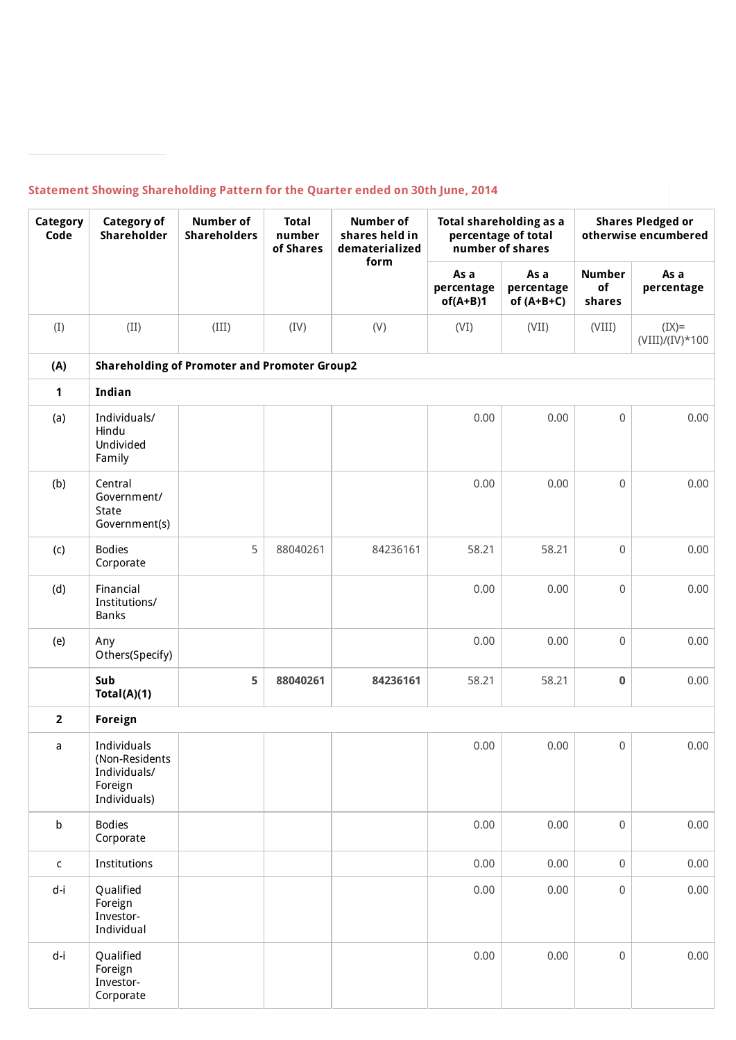## **Statement Showing Shareholding Pattern for the Quarter ended on 30th June, 2014**

| Category<br>Code | <b>Category of</b><br>Shareholder                                        | <b>Number of</b><br><b>Shareholders</b>             | <b>Total</b><br>number<br>of Shares | <b>Number of</b><br>shares held in<br>dematerialized<br>form |                                  | Total shareholding as a<br>percentage of total<br>number of shares | <b>Shares Pledged or</b><br>otherwise encumbered |                              |  |
|------------------|--------------------------------------------------------------------------|-----------------------------------------------------|-------------------------------------|--------------------------------------------------------------|----------------------------------|--------------------------------------------------------------------|--------------------------------------------------|------------------------------|--|
|                  |                                                                          |                                                     |                                     |                                                              | As a<br>percentage<br>$of(A+B)1$ | As a<br>percentage<br>of $(A+B+C)$                                 | <b>Number</b><br>of<br>shares                    | As a<br>percentage           |  |
| (I)              | (II)                                                                     | (III)                                               | (IV)                                | (V)                                                          | (VI)                             | (VII)                                                              | (VIII)                                           | $(IX)=$<br>$(VIII)/(IV)*100$ |  |
| (A)              |                                                                          | <b>Shareholding of Promoter and Promoter Group2</b> |                                     |                                                              |                                  |                                                                    |                                                  |                              |  |
| 1                | Indian                                                                   |                                                     |                                     |                                                              |                                  |                                                                    |                                                  |                              |  |
| (a)              | Individuals/<br>Hindu<br>Undivided<br>Family                             |                                                     |                                     |                                                              | 0.00                             | 0.00                                                               | $\mathsf 0$                                      | 0.00                         |  |
| (b)              | Central<br>Government/<br>State<br>Government(s)                         |                                                     |                                     |                                                              | 0.00                             | 0.00                                                               | $\mathsf 0$                                      | 0.00                         |  |
| (c)              | <b>Bodies</b><br>Corporate                                               | 5                                                   | 88040261                            | 84236161                                                     | 58.21                            | 58.21                                                              | $\mathsf 0$                                      | 0.00                         |  |
| (d)              | Financial<br>Institutions/<br>Banks                                      |                                                     |                                     |                                                              | 0.00                             | 0.00                                                               | $\mathbf 0$                                      | 0.00                         |  |
| (e)              | Any<br>Others(Specify)                                                   |                                                     |                                     |                                                              | 0.00                             | 0.00                                                               | $\mathsf 0$                                      | 0.00                         |  |
|                  | Sub<br>Total(A)(1)                                                       | 5                                                   | 88040261                            | 84236161                                                     | 58.21                            | 58.21                                                              | 0                                                | 0.00                         |  |
| $\overline{2}$   | Foreign                                                                  |                                                     |                                     |                                                              |                                  |                                                                    |                                                  |                              |  |
| a                | Individuals<br>(Non-Residents<br>Individuals/<br>Foreign<br>Individuals) |                                                     |                                     |                                                              | 0.00                             | 0.00                                                               | $\mathsf{O}\xspace$                              | 0.00                         |  |
| $\sf b$          | <b>Bodies</b><br>Corporate                                               |                                                     |                                     |                                                              | 0.00                             | 0.00                                                               | $\boldsymbol{0}$                                 | 0.00                         |  |
| $\mathsf{C}$     | Institutions                                                             |                                                     |                                     |                                                              | 0.00                             | 0.00                                                               | $\mathsf{O}\xspace$                              | 0.00                         |  |
| d-i              | Qualified<br>Foreign<br>Investor-<br>Individual                          |                                                     |                                     |                                                              | 0.00                             | 0.00                                                               | $\boldsymbol{0}$                                 | 0.00                         |  |
| d-i              | Qualified<br>Foreign<br>Investor-<br>Corporate                           |                                                     |                                     |                                                              | 0.00                             | 0.00                                                               | $\boldsymbol{0}$                                 | 0.00                         |  |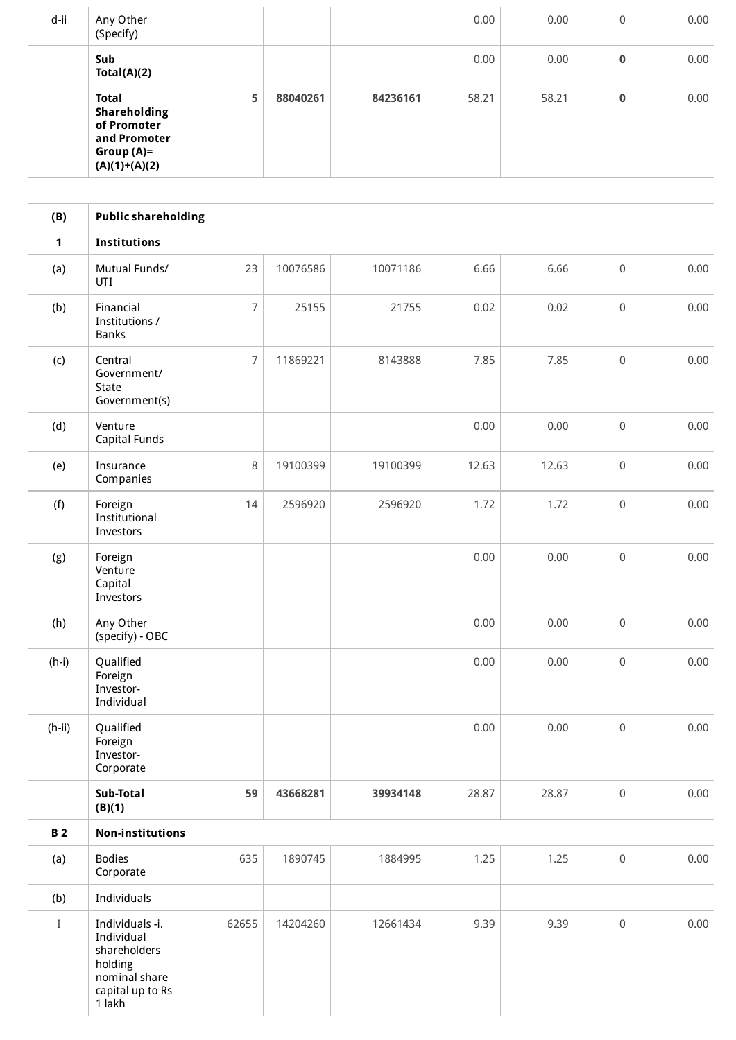| d-ii                | Any Other<br>(Specify)                                                                                  |                |          |          | 0.00  | 0.00     | $\mathbf 0$         | 0.00 |  |
|---------------------|---------------------------------------------------------------------------------------------------------|----------------|----------|----------|-------|----------|---------------------|------|--|
|                     | Sub<br>Total(A)(2)                                                                                      |                |          |          | 0.00  | 0.00     | 0                   | 0.00 |  |
|                     | <b>Total</b><br>Shareholding<br>of Promoter<br>and Promoter<br>Group (A)=<br>$(A)(1)+(A)(2)$            | 5              | 88040261 | 84236161 | 58.21 | 58.21    | $\bf{0}$            | 0.00 |  |
|                     |                                                                                                         |                |          |          |       |          |                     |      |  |
| (B)<br>$\mathbf{1}$ | <b>Public shareholding</b>                                                                              |                |          |          |       |          |                     |      |  |
| (a)                 | Institutions<br>Mutual Funds/<br>UTI                                                                    | 23             | 10076586 | 10071186 | 6.66  | 6.66     | 0                   | 0.00 |  |
| (b)                 | Financial<br>Institutions /<br>Banks                                                                    | $\overline{7}$ | 25155    | 21755    | 0.02  | 0.02     | $\mathbf 0$         | 0.00 |  |
| (c)                 | Central<br>Government/<br>State<br>Government(s)                                                        | 7              | 11869221 | 8143888  | 7.85  | 7.85     | $\mathsf 0$         | 0.00 |  |
| (d)                 | Venture<br><b>Capital Funds</b>                                                                         |                |          |          | 0.00  | 0.00     | $\mathbf 0$         | 0.00 |  |
| (e)                 | Insurance<br>Companies                                                                                  | 8              | 19100399 | 19100399 | 12.63 | 12.63    | $\mathsf 0$         | 0.00 |  |
| (f)                 | Foreign<br>Institutional<br>Investors                                                                   | 14             | 2596920  | 2596920  | 1.72  | 1.72     | $\mathsf{O}\xspace$ | 0.00 |  |
| (g)                 | Foreign<br>Venture<br>Capital<br>Investors                                                              |                |          |          | 0.00  | $0.00\,$ | $\mathsf{O}\xspace$ | 0.00 |  |
| (h)                 | Any Other<br>(specify) - OBC                                                                            |                |          |          | 0.00  | 0.00     | $\mathsf{O}\xspace$ | 0.00 |  |
| $(h-i)$             | Qualified<br>Foreign<br>Investor-<br>Individual                                                         |                |          |          | 0.00  | 0.00     | $\mathsf{O}\xspace$ | 0.00 |  |
| $(h-ii)$            | Qualified<br>Foreign<br>Investor-<br>Corporate                                                          |                |          |          | 0.00  | 0.00     | $\mathsf 0$         | 0.00 |  |
|                     | Sub-Total<br>(B)(1)                                                                                     | 59             | 43668281 | 39934148 | 28.87 | 28.87    | $\mathsf{O}\xspace$ | 0.00 |  |
| <b>B2</b>           | <b>Non-institutions</b>                                                                                 |                |          |          |       |          |                     |      |  |
| (a)                 | <b>Bodies</b><br>Corporate                                                                              | 635            | 1890745  | 1884995  | 1.25  | 1.25     | $\mathsf 0$         | 0.00 |  |
| (b)                 | Individuals                                                                                             |                |          |          |       |          |                     |      |  |
| $\rm I$             | Individuals -i.<br>Individual<br>shareholders<br>holding<br>nominal share<br>capital up to Rs<br>1 lakh | 62655          | 14204260 | 12661434 | 9.39  | 9.39     | $\mathsf 0$         | 0.00 |  |